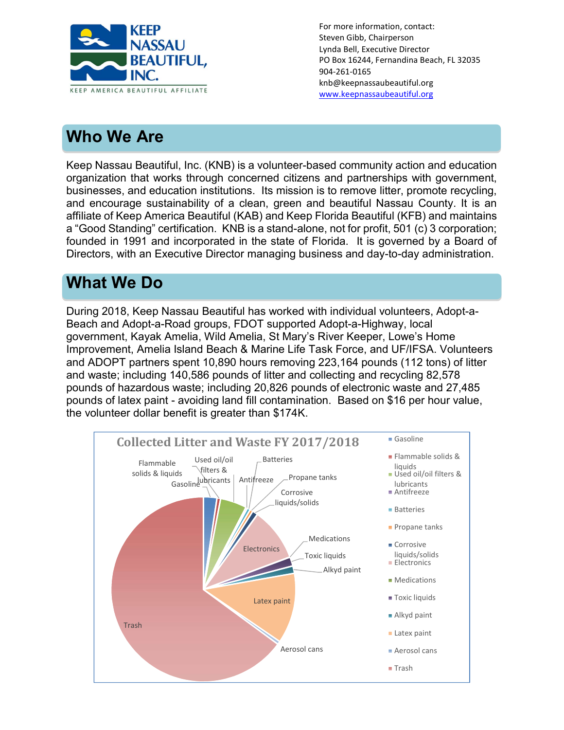

For more information, contact: Steven Gibb, Chairperson Lynda Bell, Executive Director PO Box 16244, Fernandina Beach, FL 32035 904-261-0165 knb@keepnassaubeautiful.org www.keepnassaubeautiful.org

# Who We Are

l,

Keep Nassau Beautiful, Inc. (KNB) is a volunteer-based community action and education organization that works through concerned citizens and partnerships with government, businesses, and education institutions. Its mission is to remove litter, promote recycling, and encourage sustainability of a clean, green and beautiful Nassau County. It is an affiliate of Keep America Beautiful (KAB) and Keep Florida Beautiful (KFB) and maintains a "Good Standing" certification. KNB is a stand-alone, not for profit, 501 (c) 3 corporation; founded in 1991 and incorporated in the state of Florida. It is governed by a Board of Directors, with an Executive Director managing business and day-to-day administration.

## What We Do

During 2018, Keep Nassau Beautiful has worked with individual volunteers, Adopt-a-Beach and Adopt-a-Road groups, FDOT supported Adopt-a-Highway, local government, Kayak Amelia, Wild Amelia, St Mary's River Keeper, Lowe's Home Improvement, Amelia Island Beach & Marine Life Task Force, and UF/IFSA. Volunteers and ADOPT partners spent 10,890 hours removing 223,164 pounds (112 tons) of litter and waste; including 140,586 pounds of litter and collecting and recycling 82,578 pounds of hazardous waste; including 20,826 pounds of electronic waste and 27,485 pounds of latex paint - avoiding land fill contamination. Based on \$16 per hour value, the volunteer dollar benefit is greater than \$174K.